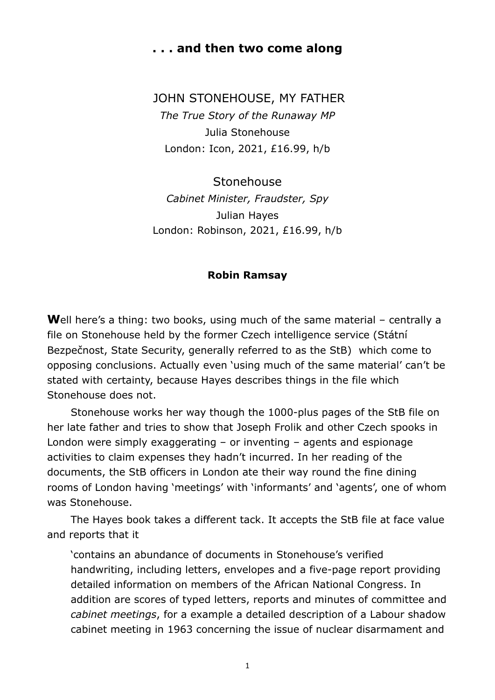## **. . . and then two come along**

JOHN STONEHOUSE, MY FATHER *The True Story of the Runaway MP*  Julia Stonehouse London: Icon, 2021, £16.99, h/b

Stonehouse *Cabinet Minister, Fraudster, Spy*  Julian Hayes London: Robinson, 2021, £16.99, h/b

## **Robin Ramsay**

**W**ell here's a thing: two books, using much of the same material – centrally a file on Stonehouse held by the former Czech intelligence service (Státní Bezpečnost, State Security, generally referred to as the StB) which come to opposing conclusions. Actually even 'using much of the same material' can't be stated with certainty, because Hayes describes things in the file which Stonehouse does not.

Stonehouse works her way though the 1000-plus pages of the StB file on her late father and tries to show that Joseph Frolik and other Czech spooks in London were simply exaggerating – or inventing – agents and espionage activities to claim expenses they hadn't incurred. In her reading of the documents, the StB officers in London ate their way round the fine dining rooms of London having 'meetings' with 'informants' and 'agents', one of whom was Stonehouse.

The Hayes book takes a different tack. It accepts the StB file at face value and reports that it

'contains an abundance of documents in Stonehouse's verified handwriting, including letters, envelopes and a five-page report providing detailed information on members of the African National Congress. In addition are scores of typed letters, reports and minutes of committee and *cabinet meetings*, for a example a detailed description of a Labour shadow cabinet meeting in 1963 concerning the issue of nuclear disarmament and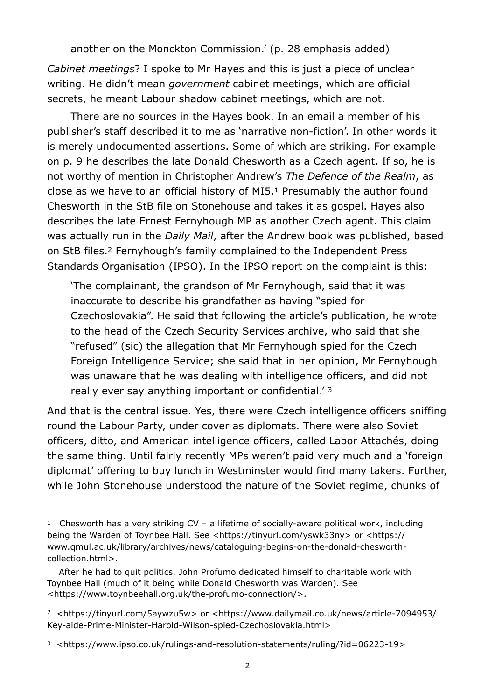another on the Monckton Commission.' (p. 28 emphasis added)

*Cabinet meetings*? I spoke to Mr Hayes and this is just a piece of unclear writing. He didn't mean *government* cabinet meetings, which are official secrets, he meant Labour shadow cabinet meetings, which are not.

There are no sources in the Hayes book. In an email a member of his publisher's staff described it to me as 'narrative non-fiction'. In other words it is merely undocumented assertions. Some of which are striking. For example on p. 9 he describes the late Donald Chesworth as a Czech agent. If so, he is not worthy of mention in Christopher Andrew's *The Defence of the Realm*, as close as we have to an official history of MI5[.](#page-1-0) $1$  Presumably the author found Chesworth in the StB file on Stonehouse and takes it as gospel. Hayes also describes the late Ernest Fernyhough MP as another Czech agent. This claim was actually run in the *Daily Mail*, after the Andrew book was published, based onStB files.<sup>[2](#page-1-1)</sup> Fernyhough's family complained to the Independent Press Standards Organisation (IPSO). In the IPSO report on the complaint is this:

<span id="page-1-5"></span><span id="page-1-4"></span><span id="page-1-3"></span>'The complainant, the grandson of Mr Fernyhough, said that it was inaccurate to describe his grandfather as having "spied for Czechoslovakia". He said that following the article's publication, he wrote to the head of the Czech Security Services archive, who said that she "refused" (sic) the allegation that Mr Fernyhough spied for the Czech Foreign Intelligence Service; she said that in her opinion, Mr Fernyhough was unaware that he was dealing with intelligence officers, and did not really ever say anything important or confidential.' [3](#page-1-2)

And that is the central issue. Yes, there were Czech intelligence officers sniffing round the Labour Party, under cover as diplomats. There were also Soviet officers, ditto, and American intelligence officers, called Labor Attachés, doing the same thing. Until fairly recently MPs weren't paid very much and a 'foreign diplomat' offering to buy lunch in Westminster would find many takers. Further, while John Stonehouse understood the nature of the Soviet regime, chunks of

<span id="page-1-1"></span><sup>2</sup> [<](https://www.dailymail.co.uk/news/article-7094953/Key-aide-Prime-Minister-Harold-Wilson-spied-Czechoslovakia.html)<https://tinyurl.com/5aywzu5w>[> or <https://www.dailymail.co.uk/news/article-7094953/](https://www.dailymail.co.uk/news/article-7094953/Key-aide-Prime-Minister-Harold-Wilson-spied-Czechoslovakia.html) [Key-aide-Prime-Minister-Harold-Wilson-spied-Czechoslovakia.html](https://www.dailymail.co.uk/news/article-7094953/Key-aide-Prime-Minister-Harold-Wilson-spied-Czechoslovakia.html)>

<span id="page-1-0"></span><sup>&</sup>lt;sup>1</sup>Chesworth has a very striking CV – a lifetime of socially-aware political work, including being the Warden of Toynbee Hall. See <[https://tinyurl.com/yswk33ny>](https://tinyurl.com/yswk33ny) or [<https://](https://www.qmul.ac.uk/library/archives/news/cataloguing-begins-on-the-donald-chesworth-collection.html) [www.qmul.ac.uk/library/archives/news/cataloguing-begins-on-the-donald-chesworth](https://www.qmul.ac.uk/library/archives/news/cataloguing-begins-on-the-donald-chesworth-collection.html)[collection.html](https://www.qmul.ac.uk/library/archives/news/cataloguing-begins-on-the-donald-chesworth-collection.html)>.

After he had to quit politics, John Profumo dedicated himself to charitable work with Toynbee Hall (much of it being while Donald Chesworth was Warden). See <<https://www.toynbeehall.org.uk/the-profumo-connection/>>.

<span id="page-1-2"></span><sup>&</sup>lt;sup>3</sup> [<https://www.ipso.co.uk/rulings-and-resolution-statements/ruling/?id=06223-19>](https://www.ipso.co.uk/rulings-and-resolution-statements/ruling/?id=06223-19)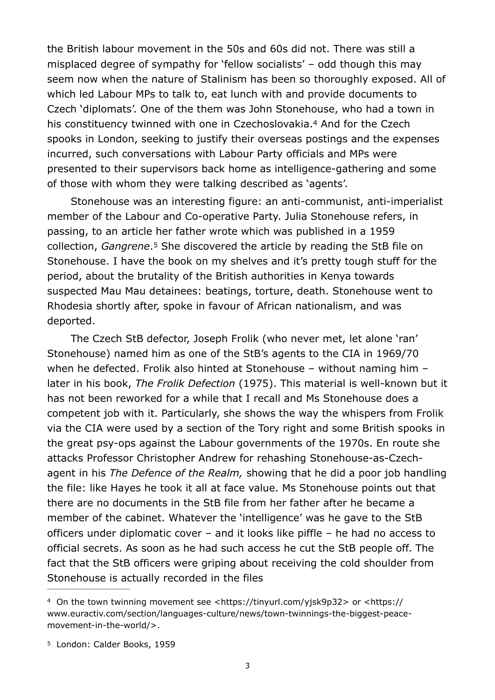<span id="page-2-2"></span>the British labour movement in the 50s and 60s did not. There was still a misplaced degree of sympathy for 'fellow socialists' – odd though this may seem now when the nature of Stalinism has been so thoroughly exposed. All of which led Labour MPs to talk to, eat lunch with and provide documents to Czech 'diplomats'. One of the them was John Stonehouse, who had a town in hisconstituency twinned with one in Czechoslovakia.<sup>[4](#page-2-0)</sup> And for the Czech spooks in London, seeking to justify their overseas postings and the expenses incurred, such conversations with Labour Party officials and MPs were presented to their supervisors back home as intelligence-gathering and some of those with whom they were talking described as 'agents'.

<span id="page-2-3"></span>Stonehouse was an interesting figure: an anti-communist, anti-imperialist member of the Labour and Co-operative Party. Julia Stonehouse refers, in passing, to an article her father wrote which was published in a 1959 collection,*Gangrene*<sup>[5](#page-2-1)</sup> She discovered the article by reading the StB file on Stonehouse. I have the book on my shelves and it's pretty tough stuff for the period, about the brutality of the British authorities in Kenya towards suspected Mau Mau detainees: beatings, torture, death. Stonehouse went to Rhodesia shortly after, spoke in favour of African nationalism, and was deported.

The Czech StB defector, Joseph Frolik (who never met, let alone 'ran' Stonehouse) named him as one of the StB's agents to the CIA in 1969/70 when he defected. Frolik also hinted at Stonehouse – without naming him – later in his book, *The Frolik Defection* (1975). This material is well-known but it has not been reworked for a while that I recall and Ms Stonehouse does a competent job with it. Particularly, she shows the way the whispers from Frolik via the CIA were used by a section of the Tory right and some British spooks in the great psy-ops against the Labour governments of the 1970s. En route she attacks Professor Christopher Andrew for rehashing Stonehouse-as-Czechagent in his *The Defence of the Realm,* showing that he did a poor job handling the file: like Hayes he took it all at face value. Ms Stonehouse points out that there are no documents in the StB file from her father after he became a member of the cabinet. Whatever the 'intelligence' was he gave to the StB officers under diplomatic cover – and it looks like piffle – he had no access to official secrets. As soon as he had such access he cut the StB people off. The fact that the StB officers were griping about receiving the cold shoulder from Stonehouse is actually recorded in the files

<span id="page-2-0"></span><sup>&</sup>lt;sup>4</sup> On the town twinning movement see <<https://tinyurl.com/yjsk9p32>> or <[https://](https://www.euractiv.com/section/languages-culture/news/town-twinnings-the-biggest-peace-movement-in-the-world/) [www.euractiv.com/section/languages-culture/news/town-twinnings-the-biggest-peace](https://www.euractiv.com/section/languages-culture/news/town-twinnings-the-biggest-peace-movement-in-the-world/)[movement-in-the-world/>](https://www.euractiv.com/section/languages-culture/news/town-twinnings-the-biggest-peace-movement-in-the-world/).

<span id="page-2-1"></span>[<sup>5</sup>](#page-2-3) London: Calder Books, 1959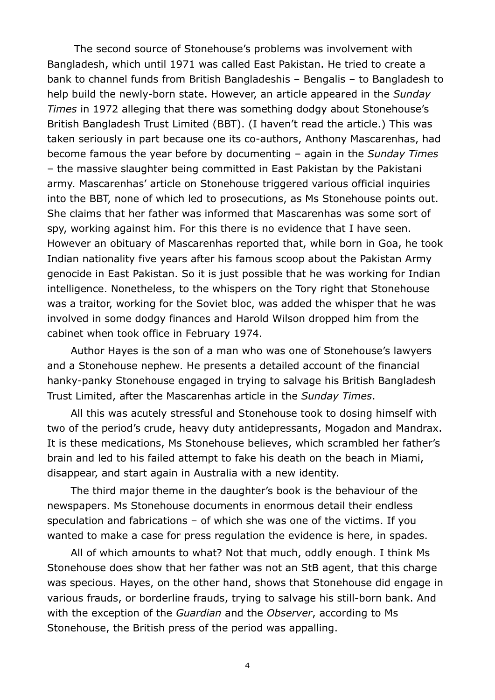The second source of Stonehouse's problems was involvement with Bangladesh, which until 1971 was called East Pakistan. He tried to create a bank to channel funds from British Bangladeshis – Bengalis – to Bangladesh to help build the newly-born state. However, an article appeared in the *Sunday Times* in 1972 alleging that there was something dodgy about Stonehouse's British Bangladesh Trust Limited (BBT). (I haven't read the article.) This was taken seriously in part because one its co-authors, Anthony Mascarenhas, had become famous the year before by documenting – again in the *Sunday Times* – the massive slaughter being committed in East Pakistan by the Pakistani army. Mascarenhas' article on Stonehouse triggered various official inquiries into the BBT, none of which led to prosecutions, as Ms Stonehouse points out. She claims that her father was informed that Mascarenhas was some sort of spy, working against him. For this there is no evidence that I have seen. However an obituary of Mascarenhas reported that, while born in Goa, he took Indian nationality five years after his famous scoop about the Pakistan Army genocide in East Pakistan. So it is just possible that he was working for Indian intelligence. Nonetheless, to the whispers on the Tory right that Stonehouse was a traitor, working for the Soviet bloc, was added the whisper that he was involved in some dodgy finances and Harold Wilson dropped him from the cabinet when took office in February 1974.

Author Hayes is the son of a man who was one of Stonehouse's lawyers and a Stonehouse nephew. He presents a detailed account of the financial hanky-panky Stonehouse engaged in trying to salvage his British Bangladesh Trust Limited, after the Mascarenhas article in the *Sunday Times*.

All this was acutely stressful and Stonehouse took to dosing himself with two of the period's crude, heavy duty antidepressants, Mogadon and Mandrax. It is these medications, Ms Stonehouse believes, which scrambled her father's brain and led to his failed attempt to fake his death on the beach in Miami, disappear, and start again in Australia with a new identity.

The third major theme in the daughter's book is the behaviour of the newspapers. Ms Stonehouse documents in enormous detail their endless speculation and fabrications – of which she was one of the victims. If you wanted to make a case for press regulation the evidence is here, in spades.

All of which amounts to what? Not that much, oddly enough. I think Ms Stonehouse does show that her father was not an StB agent, that this charge was specious. Hayes, on the other hand, shows that Stonehouse did engage in various frauds, or borderline frauds, trying to salvage his still-born bank. And with the exception of the *Guardian* and the *Observer*, according to Ms Stonehouse, the British press of the period was appalling.